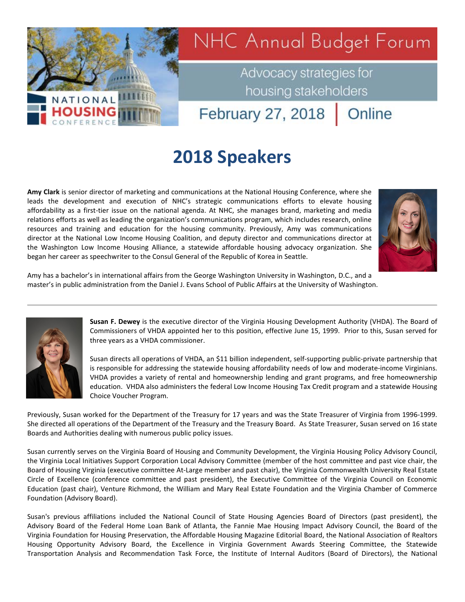

Advocacy strategies for housing stakeholders

February 27, 2018

## **2018 Speakers**

**Amy Clark** is senior director of marketing and communications at the National Housing Conference, where she leads the development and execution of NHC's strategic communications efforts to elevate housing affordability as a first-tier issue on the national agenda. At NHC, she manages brand, marketing and media relations efforts as well as leading the organization's communications program, which includes research, online resources and training and education for the housing community. Previously, Amy was communications director at the National Low Income Housing Coalition, and deputy director and communications director at the Washington Low Income Housing Alliance, a statewide affordable housing advocacy organization. She began her career as speechwriter to the Consul General of the Republic of Korea in Seattle.



Online

Amy has a bachelor's in international affairs from the George Washington University in Washington, D.C., and a master's in public administration from the Daniel J. Evans School of Public Affairs at the University of Washington.



NATIONAL

HOUSI

**Susan F. Dewey** is the executive director of the Virginia Housing Development Authority (VHDA). The Board of Commissioners of VHDA appointed her to this position, effective June 15, 1999. Prior to this, Susan served for three years as a VHDA commissioner.

Susan directs all operations of VHDA, an \$11 billion independent, self-supporting public-private partnership that is responsible for addressing the statewide housing affordability needs of low and moderate-income Virginians. VHDA provides a variety of rental and homeownership lending and grant programs, and free homeownership education. VHDA also administers the federal Low Income Housing Tax Credit program and a statewide Housing Choice Voucher Program.

Previously, Susan worked for the Department of the Treasury for 17 years and was the State Treasurer of Virginia from 1996-1999. She directed all operations of the Department of the Treasury and the Treasury Board. As State Treasurer, Susan served on 16 state Boards and Authorities dealing with numerous public policy issues.

Susan currently serves on the Virginia Board of Housing and Community Development, the Virginia Housing Policy Advisory Council, the Virginia Local Initiatives Support Corporation Local Advisory Committee (member of the host committee and past vice chair, the Board of Housing Virginia (executive committee At-Large member and past chair), the Virginia Commonwealth University Real Estate Circle of Excellence (conference committee and past president), the Executive Committee of the Virginia Council on Economic Education (past chair), Venture Richmond, the William and Mary Real Estate Foundation and the Virginia Chamber of Commerce Foundation (Advisory Board).

Susan's previous affiliations included the National Council of State Housing Agencies Board of Directors (past president), the Advisory Board of the Federal Home Loan Bank of Atlanta, the Fannie Mae Housing Impact Advisory Council, the Board of the Virginia Foundation for Housing Preservation, the Affordable Housing Magazine Editorial Board, the National Association of Realtors Housing Opportunity Advisory Board, the Excellence in Virginia Government Awards Steering Committee, the Statewide Transportation Analysis and Recommendation Task Force, the Institute of Internal Auditors (Board of Directors), the National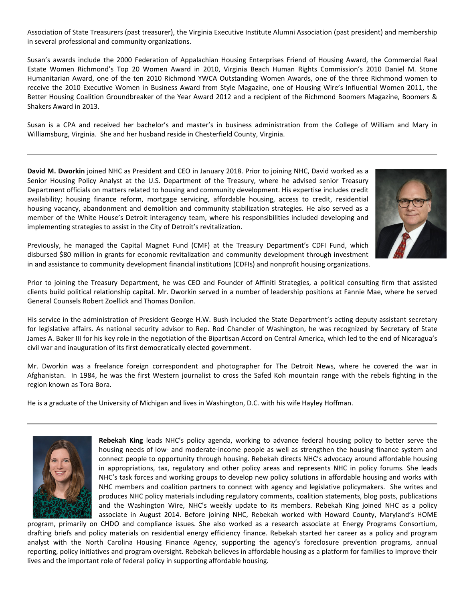Association of State Treasurers (past treasurer), the Virginia Executive Institute Alumni Association (past president) and membership in several professional and community organizations.

Susan's awards include the 2000 Federation of Appalachian Housing Enterprises Friend of Housing Award, the Commercial Real Estate Women Richmond's Top 20 Women Award in 2010, Virginia Beach Human Rights Commission's 2010 Daniel M. Stone Humanitarian Award, one of the ten 2010 Richmond YWCA Outstanding Women Awards, one of the three Richmond women to receive the 2010 Executive Women in Business Award from Style Magazine, one of Housing Wire's Influential Women 2011, the Better Housing Coalition Groundbreaker of the Year Award 2012 and a recipient of the Richmond Boomers Magazine, Boomers & Shakers Award in 2013.

Susan is a CPA and received her bachelor's and master's in business administration from the College of William and Mary in Williamsburg, Virginia. She and her husband reside in Chesterfield County, Virginia.

**David M. Dworkin** joined NHC as President and CEO in January 2018. Prior to joining NHC, David worked as a Senior Housing Policy Analyst at the U.S. Department of the Treasury, where he advised senior Treasury Department officials on matters related to housing and community development. His expertise includes credit availability; housing finance reform, mortgage servicing, affordable housing, access to credit, residential housing vacancy, abandonment and demolition and community stabilization strategies. He also served as a member of the White House's Detroit interagency team, where his responsibilities included developing and implementing strategies to assist in the City of Detroit's revitalization.



Previously, he managed the Capital Magnet Fund (CMF) at the Treasury Department's CDFI Fund, which disbursed \$80 million in grants for economic revitalization and community development through investment in and assistance to community development financial institutions (CDFIs) and nonprofit housing organizations.

Prior to joining the Treasury Department, he was CEO and Founder of Affiniti Strategies, a political consulting firm that assisted clients build political relationship capital. Mr. Dworkin served in a number of leadership positions at Fannie Mae, where he served General Counsels Robert Zoellick and Thomas Donilon.

His service in the administration of President George H.W. Bush included the State Department's acting deputy assistant secretary for legislative affairs. As national security advisor to Rep. Rod Chandler of Washington, he was recognized by Secretary of State James A. Baker III for his key role in the negotiation of the Bipartisan Accord on Central America, which led to the end of Nicaragua's civil war and inauguration of its first democratically elected government.

Mr. Dworkin was a freelance foreign correspondent and photographer for The Detroit News, where he covered the war in Afghanistan. In 1984, he was the first Western journalist to cross the Safed Koh mountain range with the rebels fighting in the region known as Tora Bora.

He is a graduate of the University of Michigan and lives in Washington, D.C. with his wife Hayley Hoffman.



**Rebekah King** leads NHC's policy agenda, working to advance federal housing policy to better serve the housing needs of low- and moderate-income people as well as strengthen the housing finance system and connect people to opportunity through housing. Rebekah directs NHC's advocacy around affordable housing in appropriations, tax, regulatory and other policy areas and represents NHC in policy forums. She leads NHC's task forces and working groups to develop new policy solutions in affordable housing and works with NHC members and coalition partners to connect with agency and legislative policymakers. She writes and produces NHC policy materials including regulatory comments, coalition statements, blog posts, publications and the Washington Wire, NHC's weekly update to its members. Rebekah King joined NHC as a policy associate in August 2014. Before joining NHC, Rebekah worked with Howard County, Maryland's HOME

program, primarily on CHDO and compliance issues. She also worked as a research associate at Energy Programs Consortium, drafting briefs and policy materials on residential energy efficiency finance. Rebekah started her career as a policy and program analyst with the North Carolina Housing Finance Agency, supporting the agency's foreclosure prevention programs, annual reporting, policy initiatives and program oversight. Rebekah believes in affordable housing as a platform for families to improve their lives and the important role of federal policy in supporting affordable housing.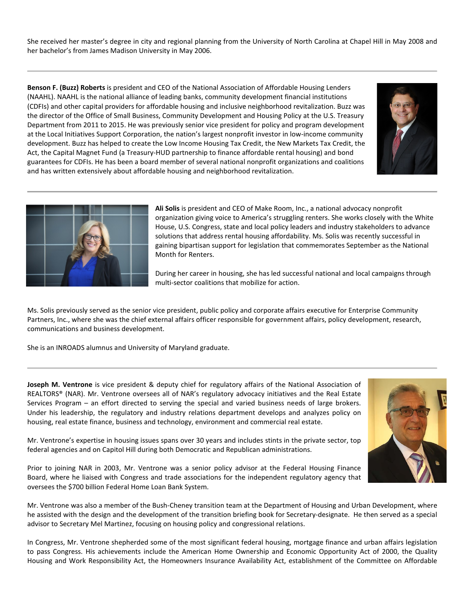She received her master's degree in city and regional planning from the University of North Carolina at Chapel Hill in May 2008 and her bachelor's from James Madison University in May 2006.

**Benson F. (Buzz) Roberts** is president and CEO of the National Association of Affordable Housing Lenders (NAAHL). NAAHL is the national alliance of leading banks, community development financial institutions (CDFIs) and other capital providers for affordable housing and inclusive neighborhood revitalization. Buzz was the director of the Office of Small Business, Community Development and Housing Policy at the U.S. Treasury Department from 2011 to 2015. He was previously senior vice president for policy and program development at the Local Initiatives Support Corporation, the nation's largest nonprofit investor in low-income community development. Buzz has helped to create the Low Income Housing Tax Credit, the New Markets Tax Credit, the Act, the Capital Magnet Fund (a Treasury-HUD partnership to finance affordable rental housing) and bond guarantees for CDFIs. He has been a board member of several national nonprofit organizations and coalitions and has written extensively about affordable housing and neighborhood revitalization.





**Ali Solis** is president and CEO of Make Room, Inc., a national advocacy nonprofit organization giving voice to America's struggling renters. She works closely with the White House, U.S. Congress, state and local policy leaders and industry stakeholders to advance solutions that address rental housing affordability. Ms. Solis was recently successful in gaining bipartisan support for legislation that commemorates September as the National Month for Renters.

During her career in housing, she has led successful national and local campaigns through multi-sector coalitions that mobilize for action.

Ms. Solis previously served as the senior vice president, public policy and corporate affairs executive for Enterprise Community Partners, Inc., where she was the chief external affairs officer responsible for government affairs, policy development, research, communications and business development.

She is an INROADS alumnus and University of Maryland graduate.

**Joseph M. Ventrone** is vice president & deputy chief for regulatory affairs of the National Association of REALTORS® (NAR). Mr. Ventrone oversees all of NAR's regulatory advocacy initiatives and the Real Estate Services Program – an effort directed to serving the special and varied business needs of large brokers. Under his leadership, the regulatory and industry relations department develops and analyzes policy on housing, real estate finance, business and technology, environment and commercial real estate.

Mr. Ventrone's expertise in housing issues spans over 30 years and includes stints in the private sector, top federal agencies and on Capitol Hill during both Democratic and Republican administrations.

Prior to joining NAR in 2003, Mr. Ventrone was a senior policy advisor at the Federal Housing Finance Board, where he liaised with Congress and trade associations for the independent regulatory agency that oversees the \$700 billion Federal Home Loan Bank System.



In Congress, Mr. Ventrone shepherded some of the most significant federal housing, mortgage finance and urban affairs legislation to pass Congress. His achievements include the American Home Ownership and Economic Opportunity Act of 2000, the Quality Housing and Work Responsibility Act, the Homeowners Insurance Availability Act, establishment of the Committee on Affordable